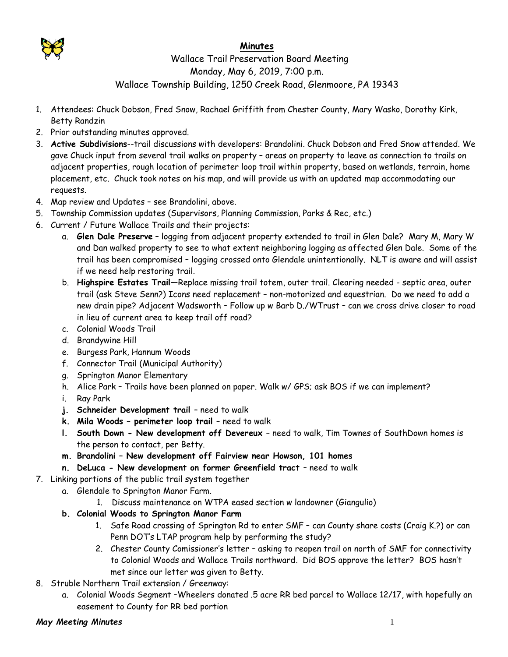

## **Minutes**

## Wallace Trail Preservation Board Meeting Monday, May 6, 2019, 7:00 p.m. Wallace Township Building, 1250 Creek Road, Glenmoore, PA 19343

- 1. Attendees: Chuck Dobson, Fred Snow, Rachael Griffith from Chester County, Mary Wasko, Dorothy Kirk, Betty Randzin
- 2. Prior outstanding minutes approved.
- 3. **Active Subdivisions**--trail discussions with developers: Brandolini. Chuck Dobson and Fred Snow attended. We gave Chuck input from several trail walks on property – areas on property to leave as connection to trails on adjacent properties, rough location of perimeter loop trail within property, based on wetlands, terrain, home placement, etc. Chuck took notes on his map, and will provide us with an updated map accommodating our requests.
- 4. Map review and Updates see Brandolini, above.
- 5. Township Commission updates (Supervisors, Planning Commission, Parks & Rec, etc.)
- 6. Current / Future Wallace Trails and their projects:
	- a. **Glen Dale Preserve** logging from adjacent property extended to trail in Glen Dale? Mary M, Mary W and Dan walked property to see to what extent neighboring logging as affected Glen Dale. Some of the trail has been compromised – logging crossed onto Glendale unintentionally. NLT is aware and will assist if we need help restoring trail.
	- b. **Highspire Estates Trail**—Replace missing trail totem, outer trail. Clearing needed septic area, outer trail (ask Steve Senn?) Icons need replacement – non-motorized and equestrian. Do we need to add a new drain pipe? Adjacent Wadsworth – Follow up w Barb D./WTrust – can we cross drive closer to road in lieu of current area to keep trail off road?
	- c. Colonial Woods Trail
	- d. Brandywine Hill
	- e. Burgess Park, Hannum Woods
	- f. Connector Trail (Municipal Authority)
	- g. Springton Manor Elementary
	- h. Alice Park Trails have been planned on paper. Walk w/ GPS; ask BOS if we can implement?
	- i. Ray Park
	- **j. Schneider Development trail** need to walk
	- **k. Mila Woods – perimeter loop trail** need to walk
	- **l. South Down - New development off Devereux**  need to walk, Tim Townes of SouthDown homes is the person to contact, per Betty.
	- **m. Brandolini – New development off Fairview near Howson, 101 homes**
	- **n. DeLuca - New development on former Greenfield tract** need to walk
- 7. Linking portions of the public trail system together
	- a. Glendale to Springton Manor Farm.
		- 1. Discuss maintenance on WTPA eased section w landowner (Giangulio)
	- **b. Colonial Woods to Springton Manor Farm**
		- 1. Safe Road crossing of Springton Rd to enter SMF can County share costs (Craig K.?) or can Penn DOT's LTAP program help by performing the study?
		- 2. Chester County Comissioner's letter asking to reopen trail on north of SMF for connectivity to Colonial Woods and Wallace Trails northward. Did BOS approve the letter? BOS hasn't met since our letter was given to Betty.
- 8. Struble Northern Trail extension / Greenway:
	- a. Colonial Woods Segment –Wheelers donated .5 acre RR bed parcel to Wallace 12/17, with hopefully an easement to County for RR bed portion